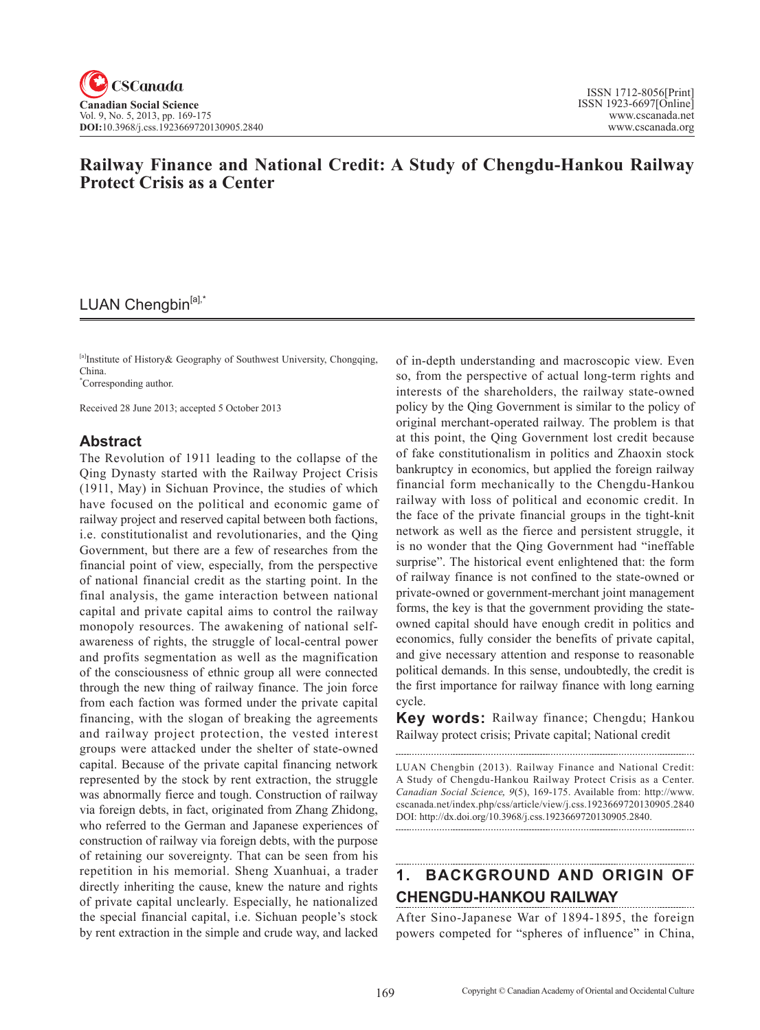

# **Railway Finance and National Credit: A Study of Chengdu-Hankou Railway Protect Crisis as a Center**

## LUAN Chengbin[a],\*

[a]Institute of History& Geography of Southwest University, Chongqing, China.

\* Corresponding author.

Received 28 June 2013; accepted 5 October 2013

### **Abstract**

The Revolution of 1911 leading to the collapse of the Qing Dynasty started with the Railway Project Crisis (1911, May) in Sichuan Province, the studies of which have focused on the political and economic game of railway project and reserved capital between both factions, i.e. constitutionalist and revolutionaries, and the Qing Government, but there are a few of researches from the financial point of view, especially, from the perspective of national financial credit as the starting point. In the final analysis, the game interaction between national capital and private capital aims to control the railway monopoly resources. The awakening of national selfawareness of rights, the struggle of local-central power and profits segmentation as well as the magnification of the consciousness of ethnic group all were connected through the new thing of railway finance. The join force from each faction was formed under the private capital financing, with the slogan of breaking the agreements and railway project protection, the vested interest groups were attacked under the shelter of state-owned capital. Because of the private capital financing network represented by the stock by rent extraction, the struggle was abnormally fierce and tough. Construction of railway via foreign debts, in fact, originated from Zhang Zhidong, who referred to the German and Japanese experiences of construction of railway via foreign debts, with the purpose of retaining our sovereignty. That can be seen from his repetition in his memorial. Sheng Xuanhuai, a trader directly inheriting the cause, knew the nature and rights of private capital unclearly. Especially, he nationalized the special financial capital, i.e. Sichuan people's stock by rent extraction in the simple and crude way, and lacked

of in-depth understanding and macroscopic view. Even so, from the perspective of actual long-term rights and interests of the shareholders, the railway state-owned policy by the Qing Government is similar to the policy of original merchant-operated railway. The problem is that at this point, the Qing Government lost credit because of fake constitutionalism in politics and Zhaoxin stock bankruptcy in economics, but applied the foreign railway financial form mechanically to the Chengdu-Hankou railway with loss of political and economic credit. In the face of the private financial groups in the tight-knit network as well as the fierce and persistent struggle, it is no wonder that the Qing Government had "ineffable surprise". The historical event enlightened that: the form of railway finance is not confined to the state-owned or private-owned or government-merchant joint management forms, the key is that the government providing the stateowned capital should have enough credit in politics and economics, fully consider the benefits of private capital, and give necessary attention and response to reasonable political demands. In this sense, undoubtedly, the credit is the first importance for railway finance with long earning cycle.

**Key words:** Railway finance; Chengdu; Hankou Railway protect crisis; Private capital; National credit

LUAN Chengbin (2013). Railway Finance and National Credit: A Study of Chengdu-Hankou Railway Protect Crisis as a Center. *Canadian Social Science*, <sup>9</sup>(5), 169-175. Available from: http://www. cscanada.net/index.php/css/article/view/j.css.1923669720130905.2840 DOI: http://dx.doi.org/10.3968/j.css.1923669720130905.2840.

### **1. BACKGROUND AND ORIGIN OF CHENGDU-HANKOU RAILWAY**

After Sino-Japanese War of 1894-1895, the foreign powers competed for "spheres of influence" in China,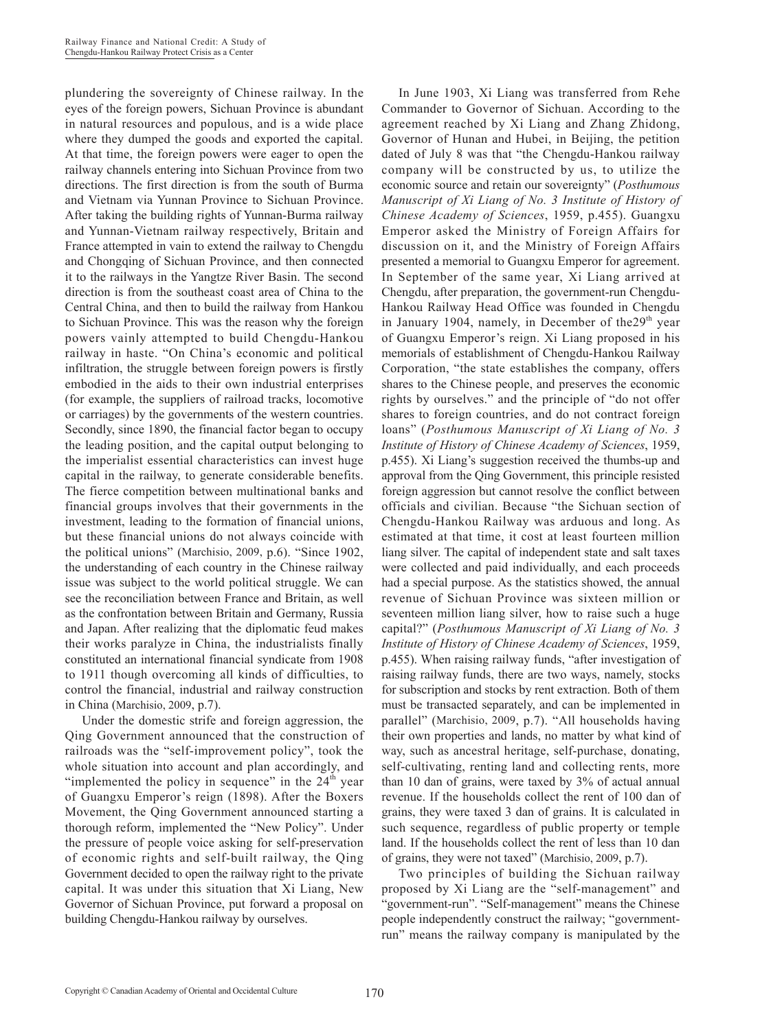plundering the sovereignty of Chinese railway. In the eyes of the foreign powers, Sichuan Province is abundant in natural resources and populous, and is a wide place where they dumped the goods and exported the capital. At that time, the foreign powers were eager to open the railway channels entering into Sichuan Province from two directions. The first direction is from the south of Burma and Vietnam via Yunnan Province to Sichuan Province. After taking the building rights of Yunnan-Burma railway and Yunnan-Vietnam railway respectively, Britain and France attempted in vain to extend the railway to Chengdu and Chongqing of Sichuan Province, and then connected it to the railways in the Yangtze River Basin. The second direction is from the southeast coast area of China to the Central China, and then to build the railway from Hankou to Sichuan Province. This was the reason why the foreign powers vainly attempted to build Chengdu-Hankou railway in haste. "On China's economic and political infiltration, the struggle between foreign powers is firstly embodied in the aids to their own industrial enterprises (for example, the suppliers of railroad tracks, locomotive or carriages) by the governments of the western countries. Secondly, since 1890, the financial factor began to occupy the leading position, and the capital output belonging to the imperialist essential characteristics can invest huge capital in the railway, to generate considerable benefits. The fierce competition between multinational banks and financial groups involves that their governments in the investment, leading to the formation of financial unions, but these financial unions do not always coincide with the political unions" (Marchisio, 2009, p.6). "Since 1902, the understanding of each country in the Chinese railway issue was subject to the world political struggle. We can see the reconciliation between France and Britain, as well as the confrontation between Britain and Germany, Russia and Japan. After realizing that the diplomatic feud makes their works paralyze in China, the industrialists finally constituted an international financial syndicate from 1908 to 1911 though overcoming all kinds of difficulties, to control the financial, industrial and railway construction in China (Marchisio, 2009, p.7).

Under the domestic strife and foreign aggression, the Qing Government announced that the construction of railroads was the "self-improvement policy", took the whole situation into account and plan accordingly, and "implemented the policy in sequence" in the  $24<sup>th</sup>$  year of Guangxu Emperor's reign (1898). After the Boxers Movement, the Qing Government announced starting a thorough reform, implemented the "New Policy". Under the pressure of people voice asking for self-preservation of economic rights and self-built railway, the Qing Government decided to open the railway right to the private capital. It was under this situation that Xi Liang, New Governor of Sichuan Province, put forward a proposal on building Chengdu-Hankou railway by ourselves.

In June 1903, Xi Liang was transferred from Rehe Commander to Governor of Sichuan. According to the agreement reached by Xi Liang and Zhang Zhidong, Governor of Hunan and Hubei, in Beijing, the petition dated of July 8 was that "the Chengdu-Hankou railway company will be constructed by us, to utilize the economic source and retain our sovereignty" (*Posthumous Manuscript of Xi Liang of No. 3 Institute of History of Chinese Academy of Sciences*, 1959, p.455). Guangxu Emperor asked the Ministry of Foreign Affairs for discussion on it, and the Ministry of Foreign Affairs presented a memorial to Guangxu Emperor for agreement. In September of the same year, Xi Liang arrived at Chengdu, after preparation, the government-run Chengdu-Hankou Railway Head Office was founded in Chengdu in January 1904, namely, in December of the  $29<sup>th</sup>$  year of Guangxu Emperor's reign. Xi Liang proposed in his memorials of establishment of Chengdu-Hankou Railway Corporation, "the state establishes the company, offers shares to the Chinese people, and preserves the economic rights by ourselves." and the principle of "do not offer shares to foreign countries, and do not contract foreign loans" (*Posthumous Manuscript of Xi Liang of No. 3 Institute of History of Chinese Academy of Sciences*, 1959, p.455). Xi Liang's suggestion received the thumbs-up and approval from the Qing Government, this principle resisted foreign aggression but cannot resolve the conflict between officials and civilian. Because "the Sichuan section of Chengdu-Hankou Railway was arduous and long. As estimated at that time, it cost at least fourteen million liang silver. The capital of independent state and salt taxes were collected and paid individually, and each proceeds had a special purpose. As the statistics showed, the annual revenue of Sichuan Province was sixteen million or seventeen million liang silver, how to raise such a huge capital?" (*Posthumous Manuscript of Xi Liang of No. 3 Institute of History of Chinese Academy of Sciences*, 1959, p.455). When raising railway funds, "after investigation of raising railway funds, there are two ways, namely, stocks for subscription and stocks by rent extraction. Both of them must be transacted separately, and can be implemented in parallel" (Marchisio, 2009, p.7). "All households having their own properties and lands, no matter by what kind of way, such as ancestral heritage, self-purchase, donating, self-cultivating, renting land and collecting rents, more than 10 dan of grains, were taxed by 3% of actual annual revenue. If the households collect the rent of 100 dan of grains, they were taxed 3 dan of grains. It is calculated in such sequence, regardless of public property or temple land. If the households collect the rent of less than 10 dan of grains, they were not taxed" (Marchisio, 2009, p.7).

Two principles of building the Sichuan railway proposed by Xi Liang are the "self-management" and "government-run". "Self-management" means the Chinese people independently construct the railway; "governmentrun" means the railway company is manipulated by the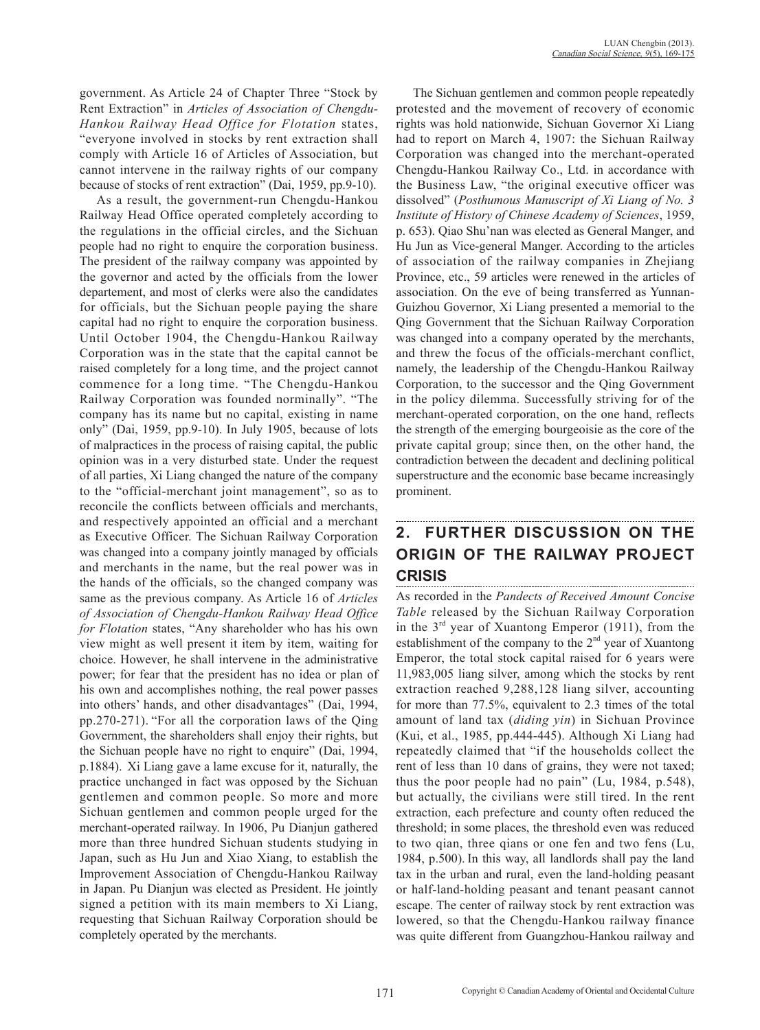government. As Article 24 of Chapter Three "Stock by Rent Extraction" in *Articles of Association of Chengdu-Hankou Railway Head Office for Flotation* states, "everyone involved in stocks by rent extraction shall comply with Article 16 of Articles of Association, but cannot intervene in the railway rights of our company because of stocks of rent extraction" (Dai, 1959, pp.9-10).

As a result, the government-run Chengdu-Hankou Railway Head Office operated completely according to the regulations in the official circles, and the Sichuan people had no right to enquire the corporation business. The president of the railway company was appointed by the governor and acted by the officials from the lower departement, and most of clerks were also the candidates for officials, but the Sichuan people paying the share capital had no right to enquire the corporation business. Until October 1904, the Chengdu-Hankou Railway Corporation was in the state that the capital cannot be raised completely for a long time, and the project cannot commence for a long time. "The Chengdu-Hankou Railway Corporation was founded norminally". "The company has its name but no capital, existing in name only" (Dai, 1959, pp.9-10). In July 1905, because of lots of malpractices in the process of raising capital, the public opinion was in a very disturbed state. Under the request of all parties, Xi Liang changed the nature of the company to the "official-merchant joint management", so as to reconcile the conflicts between officials and merchants, and respectively appointed an official and a merchant as Executive Officer. The Sichuan Railway Corporation was changed into a company jointly managed by officials and merchants in the name, but the real power was in the hands of the officials, so the changed company was same as the previous company. As Article 16 of *Articles of Association of Chengdu-Hankou Railway Head Office for Flotation* states, "Any shareholder who has his own view might as well present it item by item, waiting for choice. However, he shall intervene in the administrative power; for fear that the president has no idea or plan of his own and accomplishes nothing, the real power passes into others' hands, and other disadvantages" (Dai, 1994, pp.270-271). "For all the corporation laws of the Qing Government, the shareholders shall enjoy their rights, but the Sichuan people have no right to enquire" (Dai, 1994, p.1884). Xi Liang gave a lame excuse for it, naturally, the practice unchanged in fact was opposed by the Sichuan gentlemen and common people. So more and more Sichuan gentlemen and common people urged for the merchant-operated railway. In 1906, Pu Dianjun gathered more than three hundred Sichuan students studying in Japan, such as Hu Jun and Xiao Xiang, to establish the Improvement Association of Chengdu-Hankou Railway in Japan. Pu Dianjun was elected as President. He jointly signed a petition with its main members to Xi Liang, requesting that Sichuan Railway Corporation should be completely operated by the merchants.

The Sichuan gentlemen and common people repeatedly protested and the movement of recovery of economic rights was hold nationwide, Sichuan Governor Xi Liang had to report on March 4, 1907: the Sichuan Railway Corporation was changed into the merchant-operated Chengdu-Hankou Railway Co., Ltd. in accordance with the Business Law, "the original executive officer was dissolved" (*Posthumous Manuscript of Xi Liang of No. 3 Institute of History of Chinese Academy of Sciences*, 1959, p. 653). Qiao Shu'nan was elected as General Manger, and Hu Jun as Vice-general Manger. According to the articles of association of the railway companies in Zhejiang Province, etc., 59 articles were renewed in the articles of association. On the eve of being transferred as Yunnan-Guizhou Governor, Xi Liang presented a memorial to the Qing Government that the Sichuan Railway Corporation was changed into a company operated by the merchants, and threw the focus of the officials-merchant conflict, namely, the leadership of the Chengdu-Hankou Railway Corporation, to the successor and the Qing Government in the policy dilemma. Successfully striving for of the merchant-operated corporation, on the one hand, reflects the strength of the emerging bourgeoisie as the core of the private capital group; since then, on the other hand, the contradiction between the decadent and declining political superstructure and the economic base became increasingly prominent.

## **2. FURTHER DISCUSSION ON THE ORIGIN OF THE RAILWAY PROJECT CRISIS**

As recorded in the *Pandects of Received Amount Concise Table* released by the Sichuan Railway Corporation in the  $3<sup>rd</sup>$  year of Xuantong Emperor (1911), from the establishment of the company to the  $2<sup>nd</sup>$  year of Xuantong Emperor, the total stock capital raised for 6 years were 11,983,005 liang silver, among which the stocks by rent extraction reached 9,288,128 liang silver, accounting for more than 77.5%, equivalent to 2.3 times of the total amount of land tax (*diding yin*) in Sichuan Province (Kui, et al., 1985, pp.444-445). Although Xi Liang had repeatedly claimed that "if the households collect the rent of less than 10 dans of grains, they were not taxed; thus the poor people had no pain" (Lu, 1984, p.548), but actually, the civilians were still tired. In the rent extraction, each prefecture and county often reduced the threshold; in some places, the threshold even was reduced to two qian, three qians or one fen and two fens (Lu, 1984, p.500). In this way, all landlords shall pay the land tax in the urban and rural, even the land-holding peasant or half-land-holding peasant and tenant peasant cannot escape. The center of railway stock by rent extraction was lowered, so that the Chengdu-Hankou railway finance was quite different from Guangzhou-Hankou railway and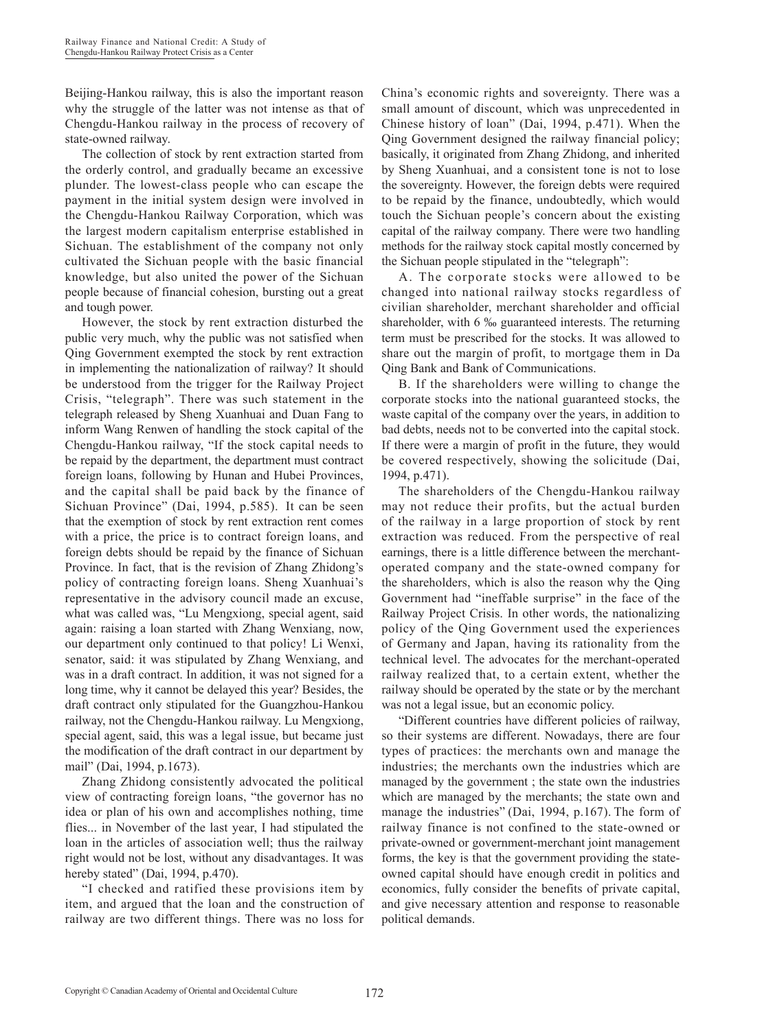Beijing-Hankou railway, this is also the important reason why the struggle of the latter was not intense as that of Chengdu-Hankou railway in the process of recovery of state-owned railway.

The collection of stock by rent extraction started from the orderly control, and gradually became an excessive plunder. The lowest-class people who can escape the payment in the initial system design were involved in the Chengdu-Hankou Railway Corporation, which was the largest modern capitalism enterprise established in Sichuan. The establishment of the company not only cultivated the Sichuan people with the basic financial knowledge, but also united the power of the Sichuan people because of financial cohesion, bursting out a great and tough power.

However, the stock by rent extraction disturbed the public very much, why the public was not satisfied when Qing Government exempted the stock by rent extraction in implementing the nationalization of railway? It should be understood from the trigger for the Railway Project Crisis, "telegraph". There was such statement in the telegraph released by Sheng Xuanhuai and Duan Fang to inform Wang Renwen of handling the stock capital of the Chengdu-Hankou railway, "If the stock capital needs to be repaid by the department, the department must contract foreign loans, following by Hunan and Hubei Provinces, and the capital shall be paid back by the finance of Sichuan Province" (Dai, 1994, p.585). It can be seen that the exemption of stock by rent extraction rent comes with a price, the price is to contract foreign loans, and foreign debts should be repaid by the finance of Sichuan Province. In fact, that is the revision of Zhang Zhidong's policy of contracting foreign loans. Sheng Xuanhuai's representative in the advisory council made an excuse, what was called was, "Lu Mengxiong, special agent, said again: raising a loan started with Zhang Wenxiang, now, our department only continued to that policy! Li Wenxi, senator, said: it was stipulated by Zhang Wenxiang, and was in a draft contract. In addition, it was not signed for a long time, why it cannot be delayed this year? Besides, the draft contract only stipulated for the Guangzhou-Hankou railway, not the Chengdu-Hankou railway. Lu Mengxiong, special agent, said, this was a legal issue, but became just the modification of the draft contract in our department by mail" (Dai, 1994, p.1673).

Zhang Zhidong consistently advocated the political view of contracting foreign loans, "the governor has no idea or plan of his own and accomplishes nothing, time flies... in November of the last year, I had stipulated the loan in the articles of association well; thus the railway right would not be lost, without any disadvantages. It was hereby stated" (Dai, 1994, p.470).

"I checked and ratified these provisions item by item, and argued that the loan and the construction of railway are two different things. There was no loss for China's economic rights and sovereignty. There was a small amount of discount, which was unprecedented in Chinese history of loan" (Dai, 1994, p.471). When the Qing Government designed the railway financial policy; basically, it originated from Zhang Zhidong, and inherited by Sheng Xuanhuai, and a consistent tone is not to lose the sovereignty. However, the foreign debts were required to be repaid by the finance, undoubtedly, which would touch the Sichuan people's concern about the existing capital of the railway company. There were two handling methods for the railway stock capital mostly concerned by the Sichuan people stipulated in the "telegraph":

A. The corporate stocks were allowed to be changed into national railway stocks regardless of civilian shareholder, merchant shareholder and official shareholder, with 6 ‰ guaranteed interests. The returning term must be prescribed for the stocks. It was allowed to share out the margin of profit, to mortgage them in Da Qing Bank and Bank of Communications.

B. If the shareholders were willing to change the corporate stocks into the national guaranteed stocks, the waste capital of the company over the years, in addition to bad debts, needs not to be converted into the capital stock. If there were a margin of profit in the future, they would be covered respectively, showing the solicitude (Dai, 1994, p.471).

The shareholders of the Chengdu-Hankou railway may not reduce their profits, but the actual burden of the railway in a large proportion of stock by rent extraction was reduced. From the perspective of real earnings, there is a little difference between the merchantoperated company and the state-owned company for the shareholders, which is also the reason why the Qing Government had "ineffable surprise" in the face of the Railway Project Crisis. In other words, the nationalizing policy of the Qing Government used the experiences of Germany and Japan, having its rationality from the technical level. The advocates for the merchant-operated railway realized that, to a certain extent, whether the railway should be operated by the state or by the merchant was not a legal issue, but an economic policy.

"Different countries have different policies of railway, so their systems are different. Nowadays, there are four types of practices: the merchants own and manage the industries; the merchants own the industries which are managed by the government ; the state own the industries which are managed by the merchants; the state own and manage the industries" (Dai, 1994, p.167). The form of railway finance is not confined to the state-owned or private-owned or government-merchant joint management forms, the key is that the government providing the stateowned capital should have enough credit in politics and economics, fully consider the benefits of private capital, and give necessary attention and response to reasonable political demands.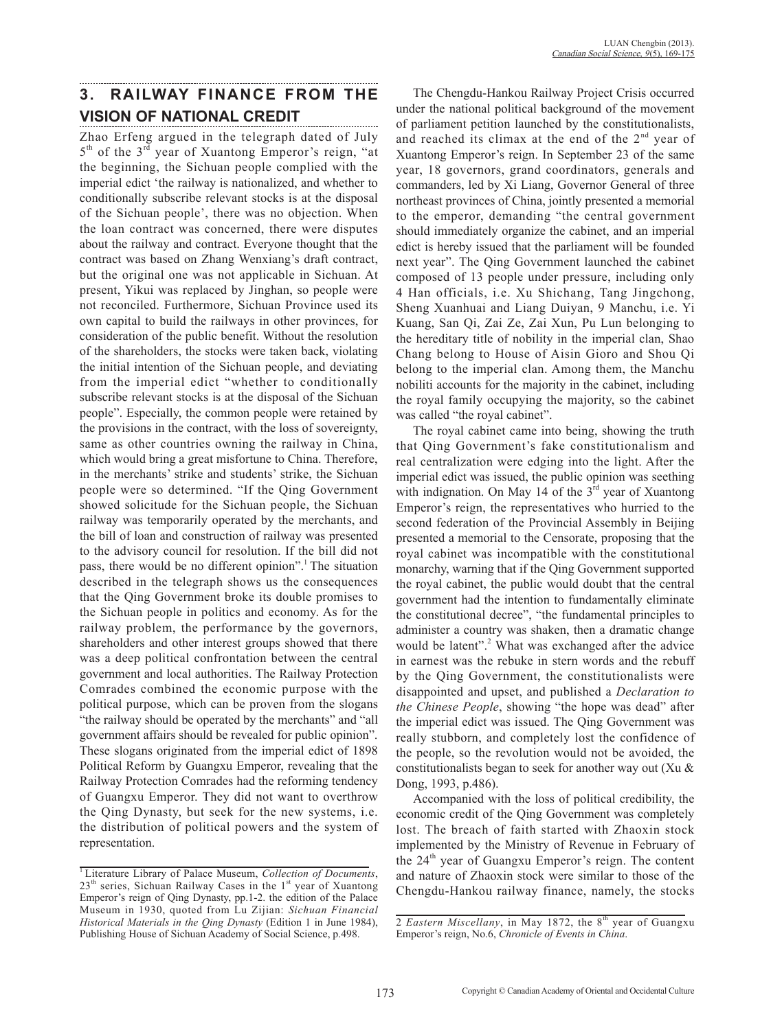# **3. RAILWAY FINANCE FROM THE VISION OF NATIONAL CREDIT**

Zhao Erfeng argued in the telegraph dated of July  $5<sup>th</sup>$  of the  $3<sup>rd</sup>$  year of Xuantong Emperor's reign, "at the beginning, the Sichuan people complied with the imperial edict 'the railway is nationalized, and whether to conditionally subscribe relevant stocks is at the disposal of the Sichuan people', there was no objection. When the loan contract was concerned, there were disputes about the railway and contract. Everyone thought that the contract was based on Zhang Wenxiang's draft contract, but the original one was not applicable in Sichuan. At present, Yikui was replaced by Jinghan, so people were not reconciled. Furthermore, Sichuan Province used its own capital to build the railways in other provinces, for consideration of the public benefit. Without the resolution of the shareholders, the stocks were taken back, violating the initial intention of the Sichuan people, and deviating from the imperial edict "whether to conditionally subscribe relevant stocks is at the disposal of the Sichuan people". Especially, the common people were retained by the provisions in the contract, with the loss of sovereignty, same as other countries owning the railway in China, which would bring a great misfortune to China. Therefore, in the merchants' strike and students' strike, the Sichuan people were so determined. "If the Qing Government showed solicitude for the Sichuan people, the Sichuan railway was temporarily operated by the merchants, and the bill of loan and construction of railway was presented to the advisory council for resolution. If the bill did not pass, there would be no different opinion". The situation described in the telegraph shows us the consequences that the Qing Government broke its double promises to the Sichuan people in politics and economy. As for the railway problem, the performance by the governors, shareholders and other interest groups showed that there was a deep political confrontation between the central government and local authorities. The Railway Protection Comrades combined the economic purpose with the political purpose, which can be proven from the slogans "the railway should be operated by the merchants" and "all government affairs should be revealed for public opinion". These slogans originated from the imperial edict of 1898 Political Reform by Guangxu Emperor, revealing that the Railway Protection Comrades had the reforming tendency of Guangxu Emperor. They did not want to overthrow the Qing Dynasty, but seek for the new systems, i.e. the distribution of political powers and the system of representation.

The Chengdu-Hankou Railway Project Crisis occurred under the national political background of the movement of parliament petition launched by the constitutionalists, and reached its climax at the end of the  $2<sup>nd</sup>$  year of Xuantong Emperor's reign. In September 23 of the same year, 18 governors, grand coordinators, generals and commanders, led by Xi Liang, Governor General of three northeast provinces of China, jointly presented a memorial to the emperor, demanding "the central government should immediately organize the cabinet, and an imperial edict is hereby issued that the parliament will be founded next year". The Qing Government launched the cabinet composed of 13 people under pressure, including only 4 Han officials, i.e. Xu Shichang, Tang Jingchong, Sheng Xuanhuai and Liang Duiyan, 9 Manchu, i.e. Yi Kuang, San Qi, Zai Ze, Zai Xun, Pu Lun belonging to the hereditary title of nobility in the imperial clan, Shao Chang belong to House of Aisin Gioro and Shou Qi belong to the imperial clan. Among them, the Manchu nobiliti accounts for the majority in the cabinet, including the royal family occupying the majority, so the cabinet was called "the royal cabinet".

The royal cabinet came into being, showing the truth that Qing Government's fake constitutionalism and real centralization were edging into the light. After the imperial edict was issued, the public opinion was seething with indignation. On May 14 of the  $3<sup>rd</sup>$  year of Xuantong Emperor's reign, the representatives who hurried to the second federation of the Provincial Assembly in Beijing presented a memorial to the Censorate, proposing that the royal cabinet was incompatible with the constitutional monarchy, warning that if the Qing Government supported the royal cabinet, the public would doubt that the central government had the intention to fundamentally eliminate the constitutional decree", "the fundamental principles to administer a country was shaken, then a dramatic change would be latent".<sup>2</sup> What was exchanged after the advice in earnest was the rebuke in stern words and the rebuff by the Qing Government, the constitutionalists were disappointed and upset, and published a *Declaration to the Chinese People*, showing "the hope was dead" after the imperial edict was issued. The Qing Government was really stubborn, and completely lost the confidence of the people, so the revolution would not be avoided, the constitutionalists began to seek for another way out (Xu & Dong, 1993, p.486).

Accompanied with the loss of political credibility, the economic credit of the Qing Government was completely lost. The breach of faith started with Zhaoxin stock implemented by the Ministry of Revenue in February of the  $24<sup>th</sup>$  year of Guangxu Emperor's reign. The content and nature of Zhaoxin stock were similar to those of the Chengdu-Hankou railway finance, namely, the stocks

<sup>1</sup> Literature Library of Palace Museum, *Collection of Documents*,  $23<sup>th</sup>$  series, Sichuan Railway Cases in the  $1<sup>st</sup>$  year of Xuantong Emperor's reign of Qing Dynasty, pp.1-2. the edition of the Palace Museum in 1930, quoted from Lu Zijian: *Sichuan Financial Historical Materials in the Qing Dynasty* (Edition 1 in June 1984), Publishing House of Sichuan Academy of Social Science, p.498.

<sup>2</sup> *Eastern Miscellany*, in May 1872, the 8<sup>th</sup> year of Guangxu Emperor's reign, No.6, *Chronicle of Events in China*.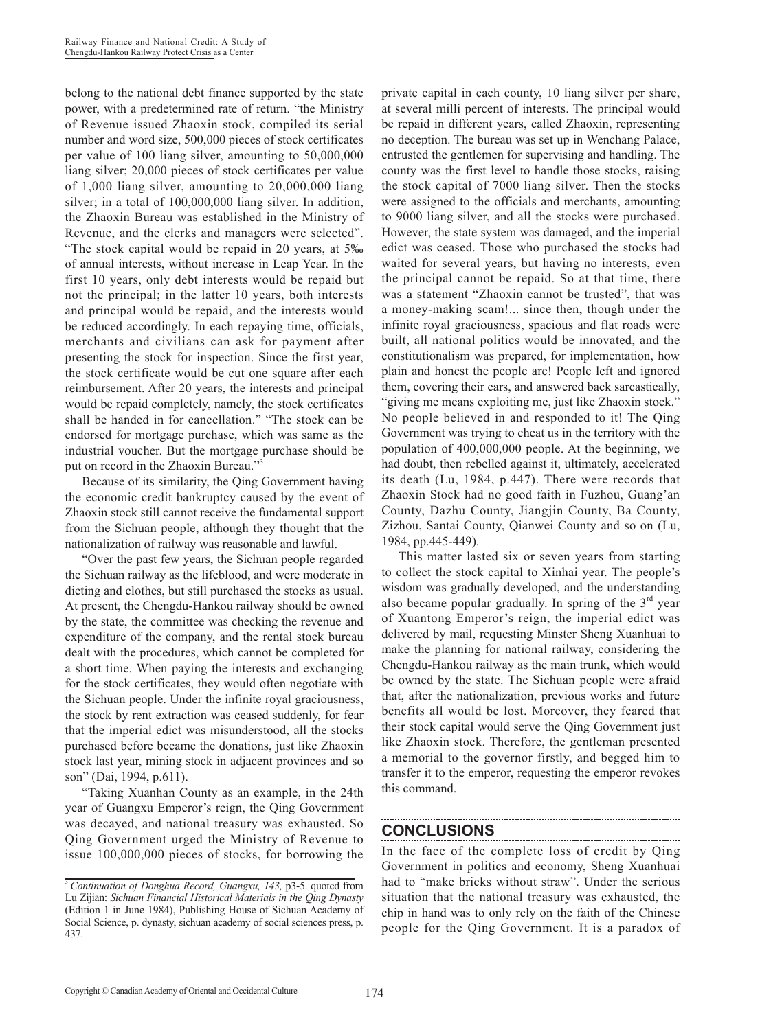belong to the national debt finance supported by the state power, with a predetermined rate of return. "the Ministry of Revenue issued Zhaoxin stock, compiled its serial number and word size, 500,000 pieces of stock certificates per value of 100 liang silver, amounting to 50,000,000 liang silver; 20,000 pieces of stock certificates per value of 1,000 liang silver, amounting to 20,000,000 liang silver; in a total of 100,000,000 liang silver. In addition, the Zhaoxin Bureau was established in the Ministry of Revenue, and the clerks and managers were selected". "The stock capital would be repaid in 20 years, at 5‰ of annual interests, without increase in Leap Year. In the first 10 years, only debt interests would be repaid but not the principal; in the latter 10 years, both interests and principal would be repaid, and the interests would be reduced accordingly. In each repaying time, officials, merchants and civilians can ask for payment after presenting the stock for inspection. Since the first year, the stock certificate would be cut one square after each reimbursement. After 20 years, the interests and principal would be repaid completely, namely, the stock certificates shall be handed in for cancellation." "The stock can be endorsed for mortgage purchase, which was same as the industrial voucher. But the mortgage purchase should be put on record in the Zhaoxin Bureau."<sup>3</sup>

Because of its similarity, the Qing Government having the economic credit bankruptcy caused by the event of Zhaoxin stock still cannot receive the fundamental support from the Sichuan people, although they thought that the nationalization of railway was reasonable and lawful.

"Over the past few years, the Sichuan people regarded the Sichuan railway as the lifeblood, and were moderate in dieting and clothes, but still purchased the stocks as usual. At present, the Chengdu-Hankou railway should be owned by the state, the committee was checking the revenue and expenditure of the company, and the rental stock bureau dealt with the procedures, which cannot be completed for a short time. When paying the interests and exchanging for the stock certificates, they would often negotiate with the Sichuan people. Under the infinite royal graciousness, the stock by rent extraction was ceased suddenly, for fear that the imperial edict was misunderstood, all the stocks purchased before became the donations, just like Zhaoxin stock last year, mining stock in adjacent provinces and so son" (Dai, 1994, p.611).

"Taking Xuanhan County as an example, in the 24th year of Guangxu Emperor's reign, the Qing Government was decayed, and national treasury was exhausted. So Qing Government urged the Ministry of Revenue to issue 100,000,000 pieces of stocks, for borrowing the private capital in each county, 10 liang silver per share, at several milli percent of interests. The principal would be repaid in different years, called Zhaoxin, representing no deception. The bureau was set up in Wenchang Palace, entrusted the gentlemen for supervising and handling. The county was the first level to handle those stocks, raising the stock capital of 7000 liang silver. Then the stocks were assigned to the officials and merchants, amounting to 9000 liang silver, and all the stocks were purchased. However, the state system was damaged, and the imperial edict was ceased. Those who purchased the stocks had waited for several years, but having no interests, even the principal cannot be repaid. So at that time, there was a statement "Zhaoxin cannot be trusted", that was a money-making scam!... since then, though under the infinite royal graciousness, spacious and flat roads were built, all national politics would be innovated, and the constitutionalism was prepared, for implementation, how plain and honest the people are! People left and ignored them, covering their ears, and answered back sarcastically, "giving me means exploiting me, just like Zhaoxin stock." No people believed in and responded to it! The Qing Government was trying to cheat us in the territory with the population of 400,000,000 people. At the beginning, we had doubt, then rebelled against it, ultimately, accelerated its death (Lu, 1984, p.447). There were records that Zhaoxin Stock had no good faith in Fuzhou, Guang'an County, Dazhu County, Jiangjin County, Ba County, Zizhou, Santai County, Qianwei County and so on (Lu, 1984, pp.445-449).

This matter lasted six or seven years from starting to collect the stock capital to Xinhai year. The people's wisdom was gradually developed, and the understanding also became popular gradually. In spring of the  $3<sup>rd</sup>$  year of Xuantong Emperor's reign, the imperial edict was delivered by mail, requesting Minster Sheng Xuanhuai to make the planning for national railway, considering the Chengdu-Hankou railway as the main trunk, which would be owned by the state. The Sichuan people were afraid that, after the nationalization, previous works and future benefits all would be lost. Moreover, they feared that their stock capital would serve the Qing Government just like Zhaoxin stock. Therefore, the gentleman presented a memorial to the governor firstly, and begged him to transfer it to the emperor, requesting the emperor revokes this command.

## **CONCLUSIONS**

In the face of the complete loss of credit by Qing Government in politics and economy, Sheng Xuanhuai had to "make bricks without straw". Under the serious situation that the national treasury was exhausted, the chip in hand was to only rely on the faith of the Chinese people for the Qing Government. It is a paradox of

<sup>3</sup>*Continuation of Donghua Record, Guangxu, 143,* p3-5. quoted from Lu Zijian: *Sichuan Financial Historical Materials in the Qing Dynasty*  (Edition 1 in June 1984), Publishing House of Sichuan Academy of Social Science, p. dynasty, sichuan academy of social sciences press, p. 437.